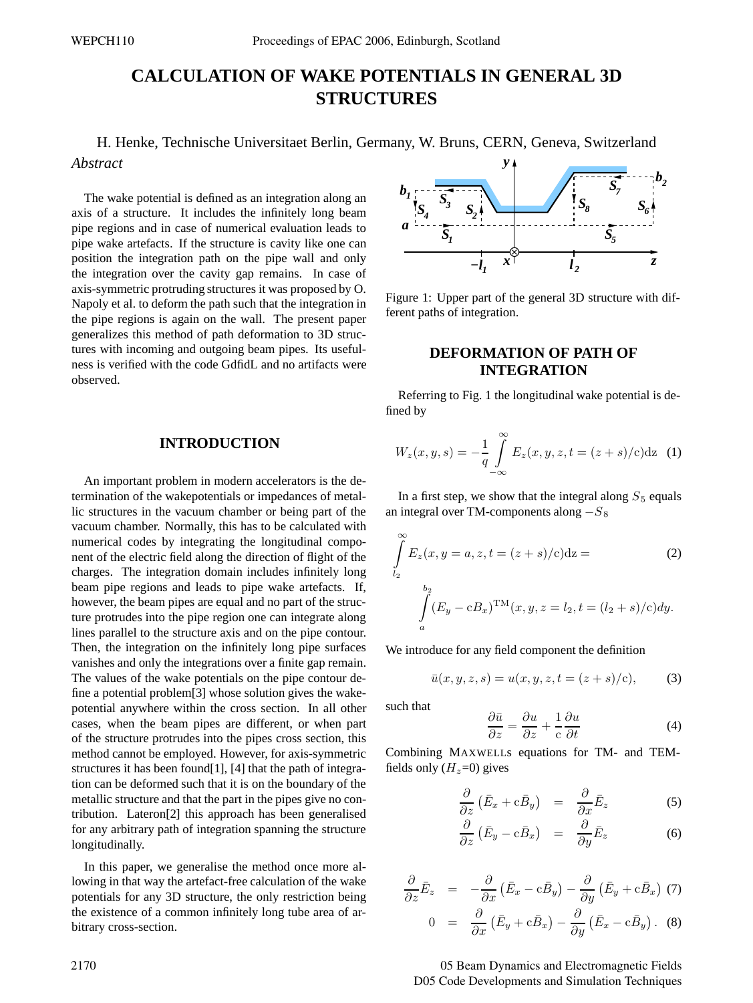# **CALCULATION OF WAKE POTENTIALS IN GENERAL 3D STRUCTURES**

H. Henke, Technische Universitaet Berlin, Germany, W. Bruns, CERN, Geneva, Switzerland *Abstract y*

The wake potential is defined as an integration along an axis of a structure. It includes the infinitely long beam pipe regions and in case of numerical evaluation leads to pipe wake artefacts. If the structure is cavity like one can position the integration path on the pipe wall and only the integration over the cavity gap remains. In case of axis-symmetric protruding structures it was proposed by O. Napoly et al. to deform the path such that the integration in the pipe regions is again on the wall. The present paper generalizes this method of path deformation to 3D structures with incoming and outgoing beam pipes. Its usefulness is verified with the code GdfidL and no artifacts were observed.

#### **INTRODUCTION**

An important problem in modern accelerators is the determination of the wakepotentials or impedances of metallic structures in the vacuum chamber or being part of the vacuum chamber. Normally, this has to be calculated with numerical codes by integrating the longitudinal component of the electric field along the direction of flight of the charges. The integration domain includes infinitely long beam pipe regions and leads to pipe wake artefacts. If, however, the beam pipes are equal and no part of the structure protrudes into the pipe region one can integrate along lines parallel to the structure axis and on the pipe contour. Then, the integration on the infinitely long pipe surfaces vanishes and only the integrations over a finite gap remain. The values of the wake potentials on the pipe contour define a potential problem[3] whose solution gives the wakepotential anywhere within the cross section. In all other cases, when the beam pipes are different, or when part of the structure protrudes into the pipes cross section, this method cannot be employed. However, for axis-symmetric structures it has been found[1], [4] that the path of integration can be deformed such that it is on the boundary of the metallic structure and that the part in the pipes give no contribution. Lateron[2] this approach has been generalised for any arbitrary path of integration spanning the structure longitudinally.

In this paper, we generalise the method once more allowing in that way the artefact-free calculation of the wake potentials for any 3D structure, the only restriction being the existence of a common infinitely long tube area of arbitrary cross-section.



Figure 1: Upper part of the general 3D structure with different paths of integration.

## **DEFORMATION OF PATH OF INTEGRATION**

Referring to Fig. 1 the longitudinal wake potential is defined by

$$
W_z(x, y, s) = -\frac{1}{q} \int_{-\infty}^{\infty} E_z(x, y, z, t = (z + s)/c) dz
$$
 (1)

In a first step, we show that the integral along  $S_5$  equals an integral over TM-components along  $-S_8$ 

$$
\int_{l_2}^{\infty} E_z(x, y = a, z, t = (z + s)/c) dz =
$$
\n
$$
\int_{a}^{b_2} (E_y - cB_x)^{\text{TM}}(x, y, z = l_2, t = (l_2 + s)/c) dy.
$$
\n(2)

We introduce for any field component the definition

$$
\bar{u}(x, y, z, s) = u(x, y, z, t = (z + s)/c), \quad (3)
$$

such that

$$
\frac{\partial \bar{u}}{\partial z} = \frac{\partial u}{\partial z} + \frac{1}{c} \frac{\partial u}{\partial t}
$$
(4)

Combining MAXWELLs equations for TM- and TEMfields only  $(H_z=0)$  gives

$$
\frac{\partial}{\partial z} \left( \bar{E}_x + c \bar{B}_y \right) = \frac{\partial}{\partial x} \bar{E}_z \tag{5}
$$

$$
\frac{\partial}{\partial z} \left( \bar{E}_y - c \bar{B}_x \right) = \frac{\partial}{\partial y} \bar{E}_z \tag{6}
$$

$$
\frac{\partial}{\partial z}\bar{E}_z = -\frac{\partial}{\partial x} (\bar{E}_x - c\bar{B}_y) - \frac{\partial}{\partial y} (\bar{E}_y + c\bar{B}_x) (7)
$$

$$
0 = \frac{\partial}{\partial x} (\bar{E}_y + c\bar{B}_x) - \frac{\partial}{\partial y} (\bar{E}_x - c\bar{B}_y) . (8)
$$

2170 05 Beam Dynamics and Electromagnetic Fields D05 Code Developments and Simulation Techniques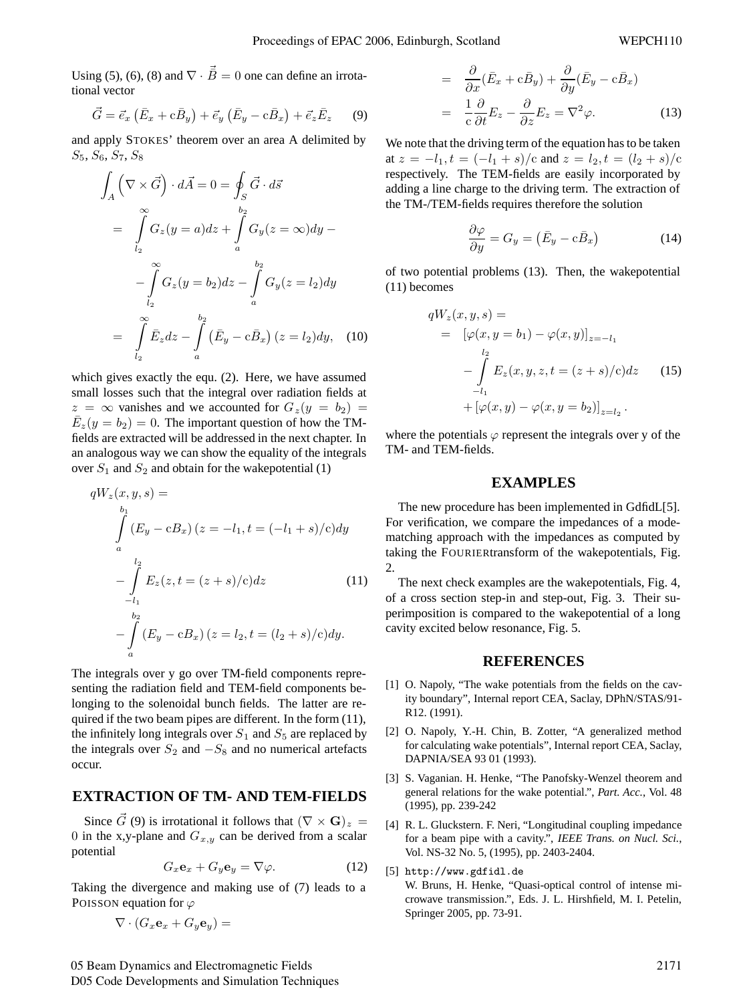Using (5), (6), (8) and  $\nabla \cdot \vec{B} = 0$  one can define an irrotational vector

$$
\vec{G} = \vec{e}_x \left( \bar{E}_x + c \bar{B}_y \right) + \vec{e}_y \left( \bar{E}_y - c \bar{B}_x \right) + \vec{e}_z \bar{E}_z \tag{9}
$$

and apply STOKES' theorem over an area A delimited by  $S_5, S_6, S_7, S_8$ 

$$
\int_{A} \left( \nabla \times \vec{G} \right) \cdot d\vec{A} = 0 = \oint_{S} \vec{G} \cdot d\vec{s}
$$
\n
$$
= \int_{l_2}^{\infty} G_z(y = a) dz + \int_{a}^{b_2} G_y(z = \infty) dy -
$$
\n
$$
- \int_{l_2}^{\infty} G_z(y = b_2) dz - \int_{a}^{b_2} G_y(z = l_2) dy
$$
\n
$$
= \int_{l_2}^{\infty} \bar{E}_z dz - \int_{a}^{b_2} \left( \bar{E}_y - c \bar{B}_x \right) (z = l_2) dy, \quad (10)
$$

which gives exactly the equ. (2). Here, we have assumed small losses such that the integral over radiation fields at  $z = \infty$  vanishes and we accounted for  $G_z(y = b_2)$  $\overline{E}_z(y=b_2)=0$ . The important question of how the TMfields are extracted will be addressed in the next chapter. In an analogous way we can show the equality of the integrals over  $S_1$  and  $S_2$  and obtain for the wakepotential (1)

$$
qW_z(x, y, s) =
$$
  
\n
$$
\int_a^{b_1} (E_y - cB_x) (z = -l_1, t = (-l_1 + s)/c) dy
$$
  
\n
$$
-\int_{-l_1}^{l_2} E_z(z, t = (z + s)/c) dz
$$
\n(11)  
\n
$$
-\int_a^{b_2} (E_y - cB_x) (z = l_2, t = (l_2 + s)/c) dy.
$$

The integrals over y go over TM-field components representing the radiation field and TEM-field components belonging to the solenoidal bunch fields. The latter are required if the two beam pipes are different. In the form (11), the infinitely long integrals over  $S_1$  and  $S_5$  are replaced by the integrals over  $S_2$  and  $-S_8$  and no numerical artefacts occur.

## **EXTRACTION OF TM- AND TEM-FIELDS**

Since  $\vec{G}$  (9) is irrotational it follows that  $(\nabla \times \mathbf{G})_z$  = 0 in the x,y-plane and  $G_{x,y}$  can be derived from a scalar potential

$$
G_x \mathbf{e}_x + G_y \mathbf{e}_y = \nabla \varphi. \tag{12}
$$

Taking the divergence and making use of (7) leads to a POISSON equation for  $\varphi$ 

$$
\nabla \cdot (G_x \mathbf{e}_x + G_y \mathbf{e}_y) =
$$

$$
= \frac{\partial}{\partial x} (\bar{E}_x + c\bar{B}_y) + \frac{\partial}{\partial y} (\bar{E}_y - c\bar{B}_x)
$$
  

$$
= \frac{1}{c} \frac{\partial}{\partial t} E_z - \frac{\partial}{\partial z} E_z = \nabla^2 \varphi.
$$
 (13)

We note that the driving term of the equation has to be taken at  $z = -l_1$ ,  $t = (-l_1 + s)/c$  and  $z = l_2$ ,  $t = (l_2 + s)/c$ respectively. The TEM-fields are easily incorporated by adding a line charge to the driving term. The extraction of the TM-/TEM-fields requires therefore the solution

$$
\frac{\partial \varphi}{\partial y} = G_y = \left(\bar{E}_y - c\bar{B}_x\right) \tag{14}
$$

of two potential problems (13). Then, the wakepotential (11) becomes

$$
qW_z(x, y, s) =
$$
  
=  $[\varphi(x, y = b_1) - \varphi(x, y)]_{z=-l_1}$   

$$
-\int_{-l_1}^{l_2} E_z(x, y, z, t = (z + s)/c) dz
$$
 (15)  
+  $[\varphi(x, y) - \varphi(x, y = b_2)]_{z=l_2}$ .

where the potentials  $\varphi$  represent the integrals over y of the TM- and TEM-fields.

### **EXAMPLES**

The new procedure has been implemented in GdfidL[5]. For verification, we compare the impedances of a modematching approach with the impedances as computed by taking the FOURIERtransform of the wakepotentials, Fig. 2.

The next check examples are the wakepotentials, Fig. 4, of a cross section step-in and step-out, Fig. 3. Their superimposition is compared to the wakepotential of a long cavity excited below resonance, Fig. 5.

#### **REFERENCES**

- [1] O. Napoly, "The wake potentials from the fields on the cavity boundary", Internal report CEA, Saclay, DPhN/STAS/91- R12. (1991).
- [2] O. Napoly, Y.-H. Chin, B. Zotter, "A generalized method for calculating wake potentials", Internal report CEA, Saclay, DAPNIA/SEA 93 01 (1993).
- [3] S. Vaganian. H. Henke, "The Panofsky-Wenzel theorem and general relations for the wake potential.", *Part. Acc.*, Vol. 48 (1995), pp. 239-242
- [4] R. L. Gluckstern. F. Neri, "Longitudinal coupling impedance for a beam pipe with a cavity.", *IEEE Trans. on Nucl. Sci.*, Vol. NS-32 No. 5, (1995), pp. 2403-2404.
- [5] http://www.gdfidl.de W. Bruns, H. Henke, "Quasi-optical control of intense microwave transmission.", Eds. J. L. Hirshfield, M. I. Petelin, Springer 2005, pp. 73-91.

05 Beam Dynamics and Electromagnetic Fields D05 Code Developments and Simulation Techniques